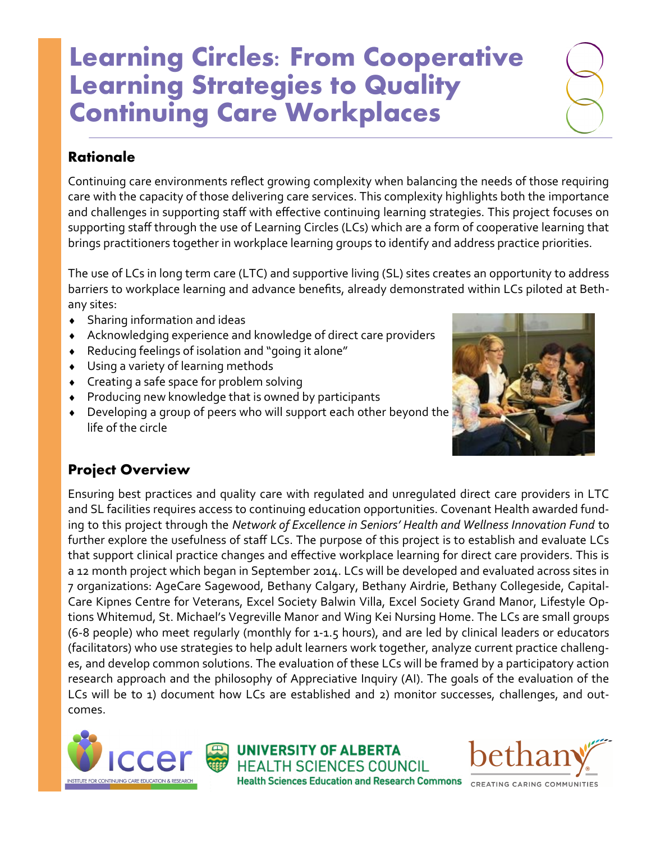# **Learning Circles: From Cooperative Learning Strategies to Quality Continuing Care Workplaces**

## **Rationale**

Continuing care environments reflect growing complexity when balancing the needs of those requiring care with the capacity of those delivering care services. This complexity highlights both the importance and challenges in supporting staff with effective continuing learning strategies. This project focuses on supporting staff through the use of Learning Circles (LCs) which are a form of cooperative learning that brings practitioners together in workplace learning groups to identify and address practice priorities.

The use of LCs in long term care (LTC) and supportive living (SL) sites creates an opportunity to address barriers to workplace learning and advance benefits, already demonstrated within LCs piloted at Bethany sites:

- Sharing information and ideas
- Acknowledging experience and knowledge of direct care providers
- Reducing feelings of isolation and "going it alone"
- Using a variety of learning methods
- Creating a safe space for problem solving
- Producing new knowledge that is owned by participants
- Developing a group of peers who will support each other beyond the life of the circle



### **Project Overview**

Ensuring best practices and quality care with regulated and unregulated direct care providers in LTC and SL facilities requires access to continuing education opportunities. Covenant Health awarded funding to this project through the *Network of Excellence in Seniors' Health and Wellness Innovation Fund* to further explore the usefulness of staff LCs. The purpose of this project is to establish and evaluate LCs that support clinical practice changes and effective workplace learning for direct care providers. This is a 12 month project which began in September 2014. LCs will be developed and evaluated across sites in 7 organizations: AgeCare Sagewood, Bethany Calgary, Bethany Airdrie, Bethany Collegeside, Capital-Care Kipnes Centre for Veterans, Excel Society Balwin Villa, Excel Society Grand Manor, Lifestyle Options Whitemud, St. Michael's Vegreville Manor and Wing Kei Nursing Home. The LCs are small groups (6-8 people) who meet regularly (monthly for 1-1.5 hours), and are led by clinical leaders or educators (facilitators) who use strategies to help adult learners work together, analyze current practice challenges, and develop common solutions. The evaluation of these LCs will be framed by a participatory action research approach and the philosophy of Appreciative Inquiry (AI). The goals of the evaluation of the LCs will be to 1) document how LCs are established and 2) monitor successes, challenges, and outcomes.



**UNIVERSITY OF ALBERTA HEALTH SCIENCES COUNCIL Health Sciences Education and Research Commons**